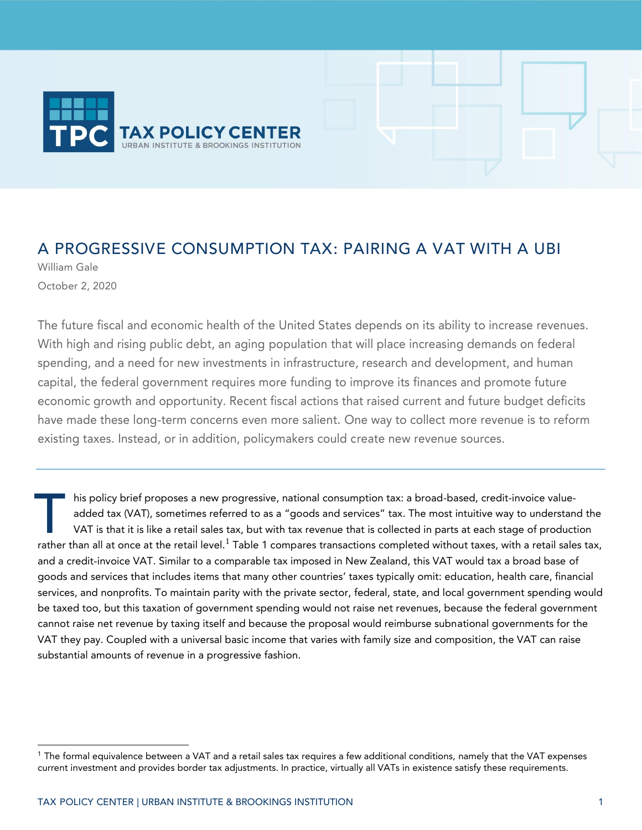

### A PROGRESSIVE CONSUMPTION TAX: PAIRING A VAT WITH A UBI

William Gale October 2, 2020

The future fiscal and economic health of the United States depends on its ability to increase revenues. With high and rising public debt, an aging population that will place increasing demands on federal spending, and a need for new investments in infrastructure, research and development, and human capital, the federal government requires more funding to improve its finances and promote future economic growth and opportunity. Recent fiscal actions that raised current and future budget deficits have made these long-term concerns even more salient. One way to collect more revenue is to reform existing taxes. Instead, or in addition, policymakers could create new revenue sources.

his policy brief proposes a new progressive, national consumption tax: a broad-based, credit-invoice valueadded tax (VAT), sometimes referred to as a "goods and services" tax. The most intuitive way to understand the VAT is that it is like a retail sales tax, but with tax revenue that is collected in parts at each stage of production his policy brief proposes a new progressive, national consumption tax: a broad-based, credit-invoice value-<br>added tax (VAT), sometimes referred to as a "goods and services" tax. The most intuitive way to understand the<br>VAT and a credit-invoice VAT. Similar to a comparable tax imposed in New Zealand, this VAT would tax a broad base of goods and services that includes items that many other countries' taxes typically omit: education, health care, financial services, and nonprofits. To maintain parity with the private sector, federal, state, and local government spending would be taxed too, but this taxation of government spending would not raise net revenues, because the federal government cannot raise net revenue by taxing itself and because the proposal would reimburse subnational governments for the VAT they pay. Coupled with a universal basic income that varies with family size and composition, the VAT can raise substantial amounts of revenue in a progressive fashion.

<sup>&</sup>lt;sup>1</sup> The formal equivalence between a VAT and a retail sales tax requires a few additional conditions, namely that the VAT expenses current investment and provides border tax adjustments. In practice, virtually all VATs in existence satisfy these requirements.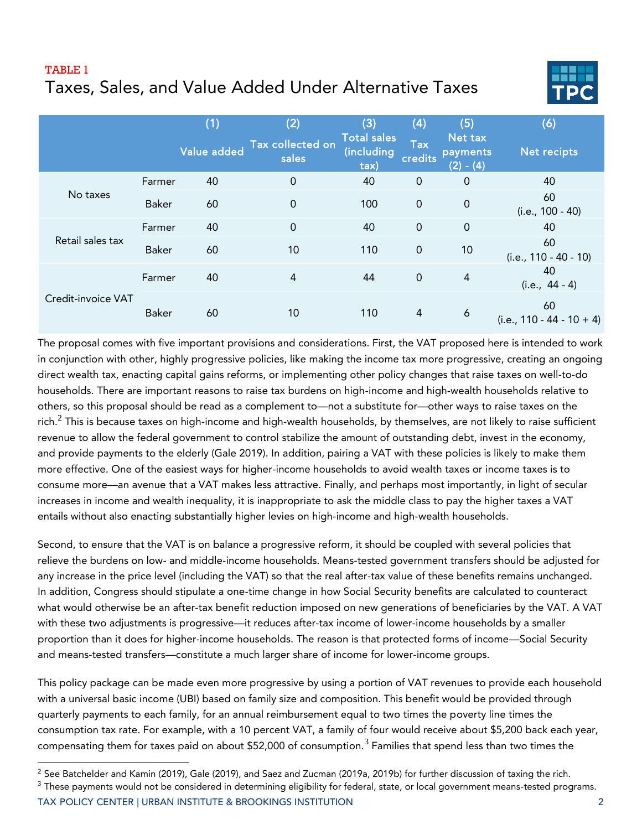### TABLE 1 Taxes, Sales, and Value Added Under Alternative Taxes



|                    |              | (1)                | (2)                       | (3)                                      | (4)                   | (5)                                | (6)                               |
|--------------------|--------------|--------------------|---------------------------|------------------------------------------|-----------------------|------------------------------------|-----------------------------------|
|                    |              | <b>Value added</b> | Tax collected on<br>sales | <b>Total sales</b><br>(including<br>tax) | <b>Tax</b><br>credits | Net tax<br>payments<br>$(2) - (4)$ | Net recipts                       |
|                    | Farmer       | 40                 | 0                         | 40                                       | $\overline{0}$        | $\mathbf 0$                        | 40                                |
| No taxes           | <b>Baker</b> | 60                 | $\overline{0}$            | 100                                      | $\mathbf 0$           | $\mathbf 0$                        | 60<br>(i.e., 100 - 40)            |
|                    | Farmer       | 40                 | $\mathbf 0$               | 40                                       | $\overline{0}$        | $\overline{0}$                     | 40                                |
| Retail sales tax   | <b>Baker</b> | 60                 | 10                        | 110                                      | $\mathbf 0$           | 10                                 | 60<br>(i.e., 110 - 40 - 10)       |
| Credit-invoice VAT | Farmer       | 40                 | $\overline{4}$            | 44                                       | $\mathbf 0$           | $\overline{4}$                     | 40<br>$(i.e., 44 - 4)$            |
|                    | <b>Baker</b> | 60                 | 10                        | 110                                      | $\overline{4}$        | 6                                  | 60<br>$(i.e., 110 - 44 - 10 + 4)$ |

The proposal comes with five important provisions and considerations. First, the VAT proposed here is intended to work in conjunction with other, highly progressive policies, like making the income tax more progressive, creating an ongoing direct wealth tax, enacting capital gains reforms, or implementing other policy changes that raise taxes on well-to-do households. There are important reasons to raise tax burdens on high-income and high-wealth households relative to others, so this proposal should be read as a complement to—not a substitute for—other ways to raise taxes on the rich. $^2$  This is because taxes on high-income and high-wealth households, by themselves, are not likely to raise sufficient revenue to allow the federal government to control stabilize the amount of outstanding debt, invest in the economy, and provide payments to the elderly (Gale 2019). In addition, pairing a VAT with these policies is likely to make them more effective. One of the easiest ways for higher-income households to avoid wealth taxes or income taxes is to consume more—an avenue that a VAT makes less attractive. Finally, and perhaps most importantly, in light of secular increases in income and wealth inequality, it is inappropriate to ask the middle class to pay the higher taxes a VAT entails without also enacting substantially higher levies on high-income and high-wealth households.

Second, to ensure that the VAT is on balance a progressive reform, it should be coupled with several policies that relieve the burdens on low- and middle-income households. Means-tested government transfers should be adjusted for any increase in the price level (including the VAT) so that the real after-tax value of these benefits remains unchanged. In addition, Congress should stipulate a one-time change in how Social Security benefits are calculated to counteract what would otherwise be an after-tax benefit reduction imposed on new generations of beneficiaries by the VAT. A VAT with these two adjustments is progressive—it reduces after-tax income of lower-income households by a smaller proportion than it does for higher-income households. The reason is that protected forms of income—Social Security and means-tested transfers—constitute a much larger share of income for lower-income groups.

This policy package can be made even more progressive by using a portion of VAT revenues to provide each household with a universal basic income (UBI) based on family size and composition. This benefit would be provided through quarterly payments to each family, for an annual reimbursement equal to two times the poverty line times the consumption tax rate. For example, with a 10 percent VAT, a family of four would receive about \$5,200 back each year, compensating them for taxes paid on about \$52,000 of consumption. $^3$  Families that spend less than two times the

TAX POLICY CENTER | URBAN INSTITUTE & BROOKINGS INSTITUTION 2

<sup>&</sup>lt;sup>2</sup> See Batchelder and Kamin (2019), Gale (2019), and Saez and Zucman (2019a, 2019b) for further discussion of taxing the rich.

 $3$  These payments would not be considered in determining eligibility for federal, state, or local government means-tested programs.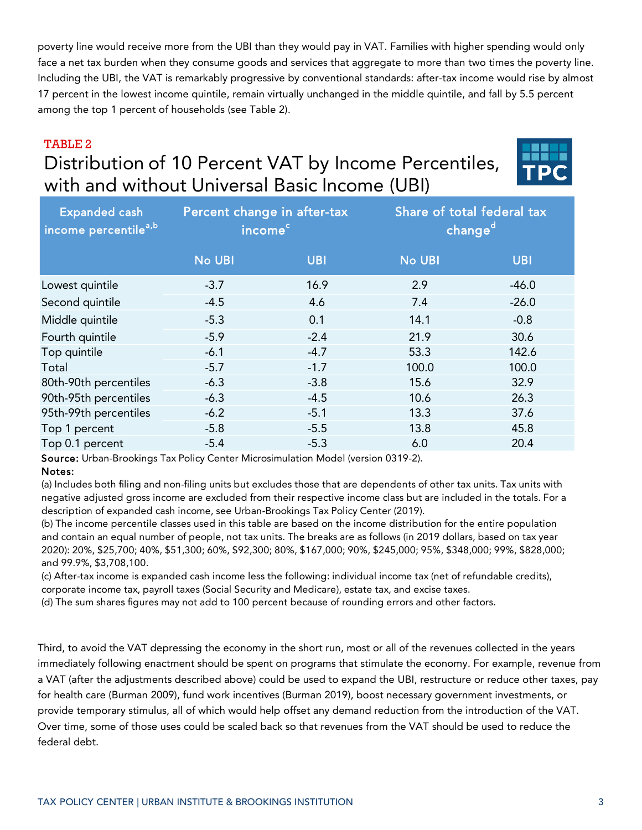poverty line would receive more from the UBI than they would pay in VAT. Families with higher spending would only face a net tax burden when they consume goods and services that aggregate to more than two times the poverty line. Including the UBI, the VAT is remarkably progressive by conventional standards: after-tax income would rise by almost 17 percent in the lowest income quintile, remain virtually unchanged in the middle quintile, and fall by 5.5 percent among the top 1 percent of households (see Table 2).

### TABLE 2

# Distribution of 10 Percent VAT by Income Percentiles, with and without Universal Basic Income (UBI)



| <b>Expanded cash</b><br>income percentile <sup>a,b'</sup> | Percent change in after-tax<br>income <sup>c</sup> |            | Share of total federal tax<br>changed |            |  |
|-----------------------------------------------------------|----------------------------------------------------|------------|---------------------------------------|------------|--|
|                                                           | <b>No UBI</b>                                      | <b>UBI</b> | <b>No UBI</b>                         | <b>UBI</b> |  |
| Lowest quintile                                           | $-3.7$                                             | 16.9       | 2.9                                   | $-46.0$    |  |
| Second quintile                                           | $-4.5$                                             | 4.6        | 7.4                                   | $-26.0$    |  |
| Middle quintile                                           | $-5.3$                                             | 0.1        | 14.1                                  | $-0.8$     |  |
| Fourth quintile                                           | $-5.9$                                             | $-2.4$     | 21.9                                  | 30.6       |  |
| Top quintile                                              | $-6.1$                                             | $-4.7$     | 53.3                                  | 142.6      |  |
| Total                                                     | $-5.7$                                             | $-1.7$     | 100.0                                 | 100.0      |  |
| 80th-90th percentiles                                     | $-6.3$                                             | $-3.8$     | 15.6                                  | 32.9       |  |
| 90th-95th percentiles                                     | $-6.3$                                             | $-4.5$     | 10.6                                  | 26.3       |  |
| 95th-99th percentiles                                     | $-6.2$                                             | $-5.1$     | 13.3                                  | 37.6       |  |
| Top 1 percent                                             | $-5.8$                                             | $-5.5$     | 13.8                                  | 45.8       |  |
| Top 0.1 percent                                           | $-5.4$                                             | $-5.3$     | 6.0                                   | 20.4       |  |
|                                                           |                                                    |            |                                       |            |  |

Source: Urban-Brookings Tax Policy Center Microsimulation Model (version 0319-2).

#### Notes:

(a) Includes both filing and non-filing units but excludes those that are dependents of other tax units. Tax units with negative adjusted gross income are excluded from their respective income class but are included in the totals. For a description of expanded cash income, see Urban-Brookings Tax Policy Center (2019).

(b) The income percentile classes used in this table are based on the income distribution for the entire population and contain an equal number of people, not tax units. The breaks are as follows (in 2019 dollars, based on tax year 2020): 20%, \$25,700; 40%, \$51,300; 60%, \$92,300; 80%, \$167,000; 90%, \$245,000; 95%, \$348,000; 99%, \$828,000; and 99.9%, \$3,708,100.

(c) After-tax income is expanded cash income less the following: individual income tax (net of refundable credits), corporate income tax, payroll taxes (Social Security and Medicare), estate tax, and excise taxes.

(d) The sum shares figures may not add to 100 percent because of rounding errors and other factors.

Third, to avoid the VAT depressing the economy in the short run, most or all of the revenues collected in the years immediately following enactment should be spent on programs that stimulate the economy. For example, revenue from a VAT (after the adjustments described above) could be used to expand the UBI, restructure or reduce other taxes, pay for health care (Burman 2009), fund work incentives (Burman 2019), boost necessary government investments, or provide temporary stimulus, all of which would help offset any demand reduction from the introduction of the VAT. Over time, some of those uses could be scaled back so that revenues from the VAT should be used to reduce the federal debt.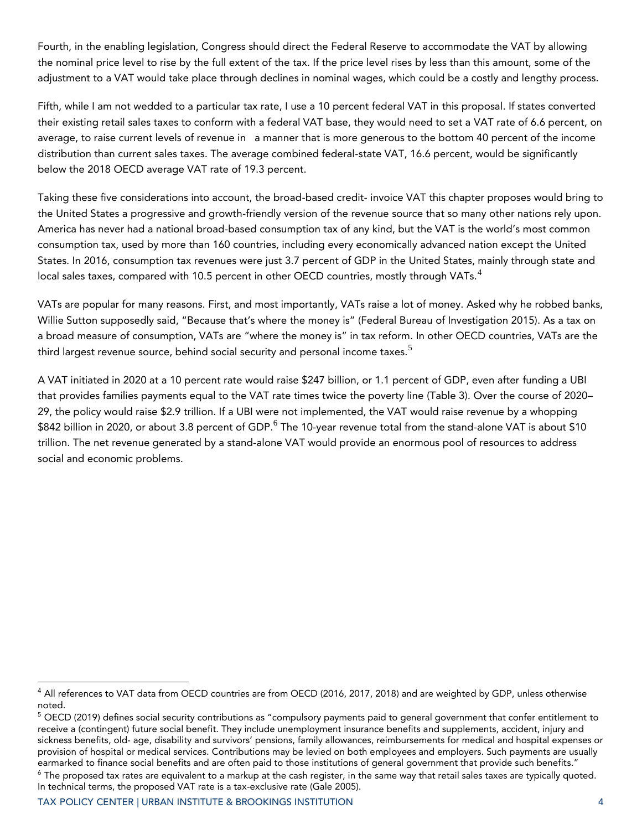Fourth, in the enabling legislation, Congress should direct the Federal Reserve to accommodate the VAT by allowing the nominal price level to rise by the full extent of the tax. If the price level rises by less than this amount, some of the adjustment to a VAT would take place through declines in nominal wages, which could be a costly and lengthy process.

Fifth, while I am not wedded to a particular tax rate, I use a 10 percent federal VAT in this proposal. If states converted their existing retail sales taxes to conform with a federal VAT base, they would need to set a VAT rate of 6.6 percent, on average, to raise current levels of revenue in a manner that is more generous to the bottom 40 percent of the income distribution than current sales taxes. The average combined federal-state VAT, 16.6 percent, would be significantly below the 2018 OECD average VAT rate of 19.3 percent.

Taking these five considerations into account, the broad-based credit- invoice VAT this chapter proposes would bring to the United States a progressive and growth-friendly version of the revenue source that so many other nations rely upon. America has never had a national broad-based consumption tax of any kind, but the VAT is the world's most common consumption tax, used by more than 160 countries, including every economically advanced nation except the United States. In 2016, consumption tax revenues were just 3.7 percent of GDP in the United States, mainly through state and local sales taxes, compared with 10.5 percent in other OECD countries, mostly through VATs. $4$ 

VATs are popular for many reasons. First, and most importantly, VATs raise a lot of money. Asked why he robbed banks, Willie Sutton supposedly said, "Because that's where the money is" (Federal Bureau of Investigation 2015). As a tax on a broad measure of consumption, VATs are "where the money is" in tax reform. In other OECD countries, VATs are the third largest revenue source, behind social security and personal income taxes.<sup>5</sup>

A VAT initiated in 2020 at a 10 percent rate would raise \$247 billion, or 1.1 percent of GDP, even after funding a UBI that provides families payments equal to the VAT rate times twice the poverty line (Table 3). Over the course of 2020– 29, the policy would raise \$2.9 trillion. If a UBI were not implemented, the VAT would raise revenue by a whopping  $\$842$  billion in 2020, or about 3.8 percent of GDP. $^6$  The 10-year revenue total from the stand-alone VAT is about  $\$10$ trillion. The net revenue generated by a stand-alone VAT would provide an enormous pool of resources to address social and economic problems.

<sup>&</sup>lt;sup>4</sup> All references to VAT data from OECD countries are from OECD (2016, 2017, 2018) and are weighted by GDP, unless otherwise noted.

<sup>5</sup> OECD (2019) defines social security contributions as "compulsory payments paid to general government that confer entitlement to receive a (contingent) future social benefit. They include unemployment insurance benefits and supplements, accident, injury and sickness benefits, old- age, disability and survivors' pensions, family allowances, reimbursements for medical and hospital expenses or provision of hospital or medical services. Contributions may be levied on both employees and employers. Such payments are usually earmarked to finance social benefits and are often paid to those institutions of general government that provide such benefits."  $6$  The proposed tax rates are equivalent to a markup at the cash register, in the same way that retail sales taxes are typically quoted. In technical terms, the proposed VAT rate is a tax-exclusive rate (Gale 2005).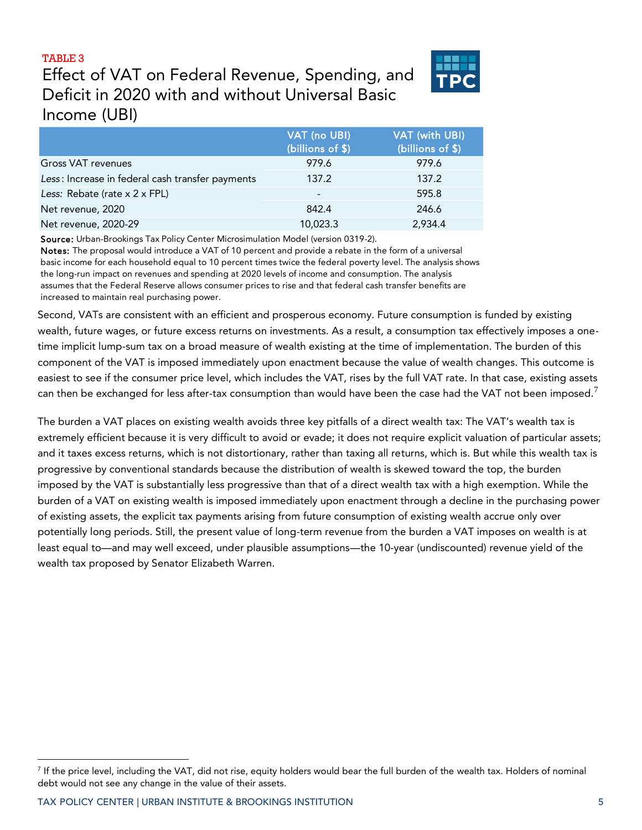#### TABLE 3

### Effect of VAT on Federal Revenue, Spending, and Deficit in 2020 with and without Universal Basic Income (UBI)

|                                                  | VAT (no UBI)<br>(billions of \$) | VAT (with UBI)<br>(billions of \$) |
|--------------------------------------------------|----------------------------------|------------------------------------|
| Gross VAT revenues                               | 979.6                            | 979.6                              |
| Less: Increase in federal cash transfer payments | 137.2                            | 137.2                              |
| Less: Rebate (rate x 2 x FPL)                    |                                  | 595.8                              |
| Net revenue, 2020                                | 842.4                            | 246.6                              |
| Net revenue, 2020-29                             | 10,023.3                         | 2,934.4                            |
|                                                  |                                  |                                    |

Source: Urban-Brookings Tax Policy Center Microsimulation Model (version 0319-2).

Notes: The proposal would introduce a VAT of 10 percent and provide a rebate in the form of a universal basic income for each household equal to 10 percent times twice the federal poverty level. The analysis shows the long-run impact on revenues and spending at 2020 levels of income and consumption. The analysis assumes that the Federal Reserve allows consumer prices to rise and that federal cash transfer benefits are increased to maintain real purchasing power.

Second, VATs are consistent with an efficient and prosperous economy. Future consumption is funded by existing wealth, future wages, or future excess returns on investments. As a result, a consumption tax effectively imposes a onetime implicit lump-sum tax on a broad measure of wealth existing at the time of implementation. The burden of this component of the VAT is imposed immediately upon enactment because the value of wealth changes. This outcome is easiest to see if the consumer price level, which includes the VAT, rises by the full VAT rate. In that case, existing assets can then be exchanged for less after-tax consumption than would have been the case had the VAT not been imposed.<sup>7</sup>

The burden a VAT places on existing wealth avoids three key pitfalls of a direct wealth tax: The VAT's wealth tax is extremely efficient because it is very difficult to avoid or evade; it does not require explicit valuation of particular assets; and it taxes excess returns, which is not distortionary, rather than taxing all returns, which is. But while this wealth tax is progressive by conventional standards because the distribution of wealth is skewed toward the top, the burden imposed by the VAT is substantially less progressive than that of a direct wealth tax with a high exemption. While the burden of a VAT on existing wealth is imposed immediately upon enactment through a decline in the purchasing power of existing assets, the explicit tax payments arising from future consumption of existing wealth accrue only over potentially long periods. Still, the present value of long-term revenue from the burden a VAT imposes on wealth is at least equal to—and may well exceed, under plausible assumptions—the 10-year (undiscounted) revenue yield of the wealth tax proposed by Senator Elizabeth Warren. Gross VAT revenues<br>
Less: Increase in federal cash transfer payments<br>
1979.6<br>
Less: Rebiate (rate x 2 x FPL)<br>
1979.<br>
Less: Rebiate (rate x 2 x FPL)<br>
Net revenue, 2020-29<br>
1979.<br>
Net revenue, 2020-29<br>
Net revenue, 2020-29<br>

<sup>7</sup> If the price level, including the VAT, did not rise, equity holders would bear the full burden of the wealth tax. Holders of nominal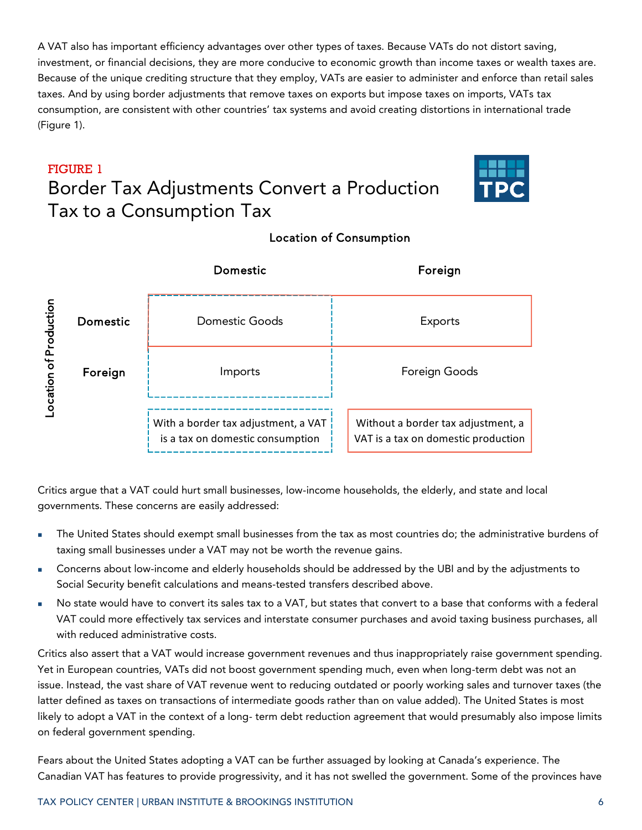A VAT also has important efficiency advantages over other types of taxes. Because VATs do not distort saving, investment, or financial decisions, they are more conducive to economic growth than income taxes or wealth taxes are. Because of the unique crediting structure that they employ, VATs are easier to administer and enforce than retail sales taxes. And by using border adjustments that remove taxes on exports but impose taxes on imports, VATs tax consumption, are consistent with other countries' tax systems and avoid creating distortions in international trade (Figure 1).

## FIGURE 1 Border Tax Adjustments Convert a Production Tax to a Consumption Tax



|                       |          | Domestic                                                                | Foreign                                                                   |  |  |
|-----------------------|----------|-------------------------------------------------------------------------|---------------------------------------------------------------------------|--|--|
|                       | Domestic | Domestic Goods                                                          | Exports                                                                   |  |  |
| ocation of Production | Foreign  | Imports                                                                 | Foreign Goods                                                             |  |  |
|                       |          | With a border tax adjustment, a VAT<br>is a tax on domestic consumption | Without a border tax adjustment, a<br>VAT is a tax on domestic production |  |  |

### Location of Consumption

Critics argue that a VAT could hurt small businesses, low-income households, the elderly, and state and local governments. These concerns are easily addressed:

- The United States should exempt small businesses from the tax as most countries do; the administrative burdens of taxing small businesses under a VAT may not be worth the revenue gains.
- Concerns about low-income and elderly households should be addressed by the UBI and by the adjustments to Social Security benefit calculations and means-tested transfers described above.
- No state would have to convert its sales tax to a VAT, but states that convert to a base that conforms with a federal VAT could more effectively tax services and interstate consumer purchases and avoid taxing business purchases, all with reduced administrative costs.

Critics also assert that a VAT would increase government revenues and thus inappropriately raise government spending. Yet in European countries, VATs did not boost government spending much, even when long-term debt was not an issue. Instead, the vast share of VAT revenue went to reducing outdated or poorly working sales and turnover taxes (the latter defined as taxes on transactions of intermediate goods rather than on value added). The United States is most likely to adopt a VAT in the context of a long- term debt reduction agreement that would presumably also impose limits on federal government spending.

Fears about the United States adopting a VAT can be further assuaged by looking at Canada's experience. The Canadian VAT has features to provide progressivity, and it has not swelled the government. Some of the provinces have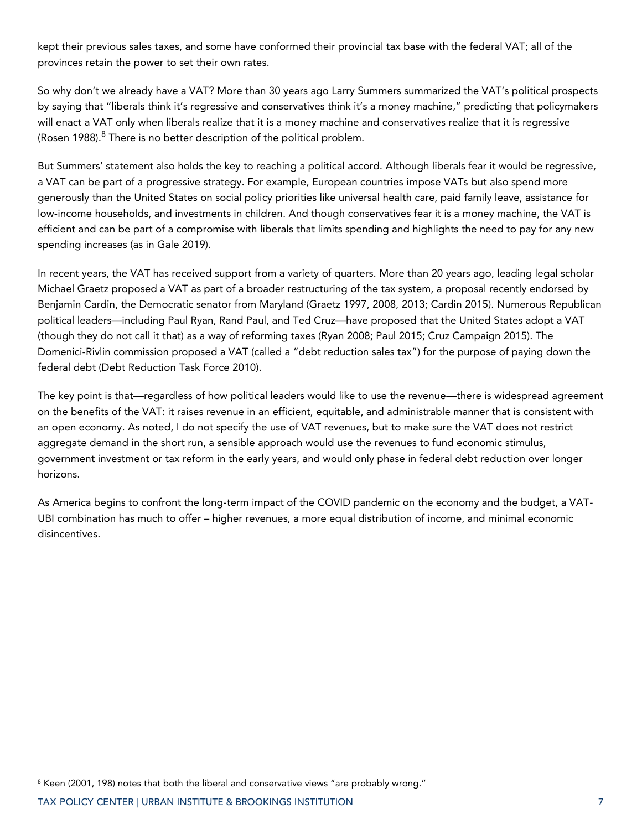kept their previous sales taxes, and some have conformed their provincial tax base with the federal VAT; all of the provinces retain the power to set their own rates.

So why don't we already have a VAT? More than 30 years ago Larry Summers summarized the VAT's political prospects by saying that "liberals think it's regressive and conservatives think it's a money machine," predicting that policymakers will enact a VAT only when liberals realize that it is a money machine and conservatives realize that it is regressive (Rosen 1988). $^8$  There is no better description of the political problem.

But Summers' statement also holds the key to reaching a political accord. Although liberals fear it would be regressive, a VAT can be part of a progressive strategy. For example, European countries impose VATs but also spend more generously than the United States on social policy priorities like universal health care, paid family leave, assistance for low-income households, and investments in children. And though conservatives fear it is a money machine, the VAT is efficient and can be part of a compromise with liberals that limits spending and highlights the need to pay for any new spending increases (as in Gale 2019).

In recent years, the VAT has received support from a variety of quarters. More than 20 years ago, leading legal scholar Michael Graetz proposed a VAT as part of a broader restructuring of the tax system, a proposal recently endorsed by Benjamin Cardin, the Democratic senator from Maryland (Graetz 1997, 2008, 2013; Cardin 2015). Numerous Republican political leaders—including Paul Ryan, Rand Paul, and Ted Cruz—have proposed that the United States adopt a VAT (though they do not call it that) as a way of reforming taxes (Ryan 2008; Paul 2015; Cruz Campaign 2015). The Domenici-Rivlin commission proposed a VAT (called a "debt reduction sales tax") for the purpose of paying down the federal debt (Debt Reduction Task Force 2010).

The key point is that—regardless of how political leaders would like to use the revenue—there is widespread agreement on the benefits of the VAT: it raises revenue in an efficient, equitable, and administrable manner that is consistent with an open economy. As noted, I do not specify the use of VAT revenues, but to make sure the VAT does not restrict aggregate demand in the short run, a sensible approach would use the revenues to fund economic stimulus, government investment or tax reform in the early years, and would only phase in federal debt reduction over longer horizons.

As America begins to confront the long-term impact of the COVID pandemic on the economy and the budget, a VAT-UBI combination has much to offer – higher revenues, a more equal distribution of income, and minimal economic disincentives.

<sup>&</sup>lt;sup>8</sup> Keen (2001, 198) notes that both the liberal and conservative views "are probably wrong."

TAX POLICY CENTER | URBAN INSTITUTE & BROOKINGS INSTITUTION 7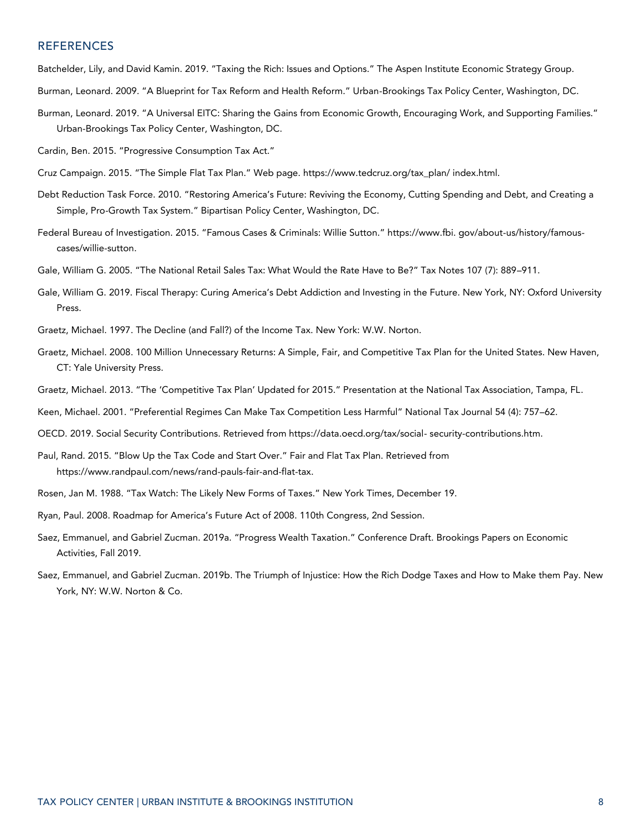#### REFERENCES

Batchelder, Lily, and David Kamin. 2019. "Taxing the Rich: Issues and Options." The Aspen Institute Economic Strategy Group.

- Burman, Leonard. 2009. "A Blueprint for Tax Reform and Health Reform." Urban-Brookings Tax Policy Center, Washington, DC.
- Burman, Leonard. 2019. "A Universal EITC: Sharing the Gains from Economic Growth, Encouraging Work, and Supporting Families." Urban-Brookings Tax Policy Center, Washington, DC.

Cardin, Ben. 2015. "Progressive Consumption Tax Act."

- Cruz Campaign. 2015. "The Simple Flat Tax Plan." Web page. https://www.tedcruz.org/tax\_plan/ index.html.
- Debt Reduction Task Force. 2010. "Restoring America's Future: Reviving the Economy, Cutting Spending and Debt, and Creating a Simple, Pro-Growth Tax System." Bipartisan Policy Center, Washington, DC.
- Federal Bureau of Investigation. 2015. "Famous Cases & Criminals: Willie Sutton." https://www.fbi. gov/about-us/history/famouscases/willie-sutton.
- Gale, William G. 2005. "The National Retail Sales Tax: What Would the Rate Have to Be?" Tax Notes 107 (7): 889–911.
- Gale, William G. 2019. Fiscal Therapy: Curing America's Debt Addiction and Investing in the Future. New York, NY: Oxford University Press.
- Graetz, Michael. 1997. The Decline (and Fall?) of the Income Tax. New York: W.W. Norton.
- Graetz, Michael. 2008. 100 Million Unnecessary Returns: A Simple, Fair, and Competitive Tax Plan for the United States. New Haven, CT: Yale University Press.
- Graetz, Michael. 2013. "The 'Competitive Tax Plan' Updated for 2015." Presentation at the National Tax Association, Tampa, FL.

Keen, Michael. 2001. "Preferential Regimes Can Make Tax Competition Less Harmful" National Tax Journal 54 (4): 757–62.

- OECD. 2019. Social Security Contributions. Retrieved from https://data.oecd.org/tax/social- security-contributions.htm.
- Paul, Rand. 2015. "Blow Up the Tax Code and Start Over." Fair and Flat Tax Plan. Retrieved from https://www.randpaul.com/news/rand-pauls-fair-and-flat-tax.
- Rosen, Jan M. 1988. "Tax Watch: The Likely New Forms of Taxes." New York Times, December 19.
- Ryan, Paul. 2008. Roadmap for America's Future Act of 2008. 110th Congress, 2nd Session.
- Saez, Emmanuel, and Gabriel Zucman. 2019a. "Progress Wealth Taxation." Conference Draft. Brookings Papers on Economic Activities, Fall 2019.
- Saez, Emmanuel, and Gabriel Zucman. 2019b. The Triumph of Injustice: How the Rich Dodge Taxes and How to Make them Pay. New York, NY: W.W. Norton & Co.